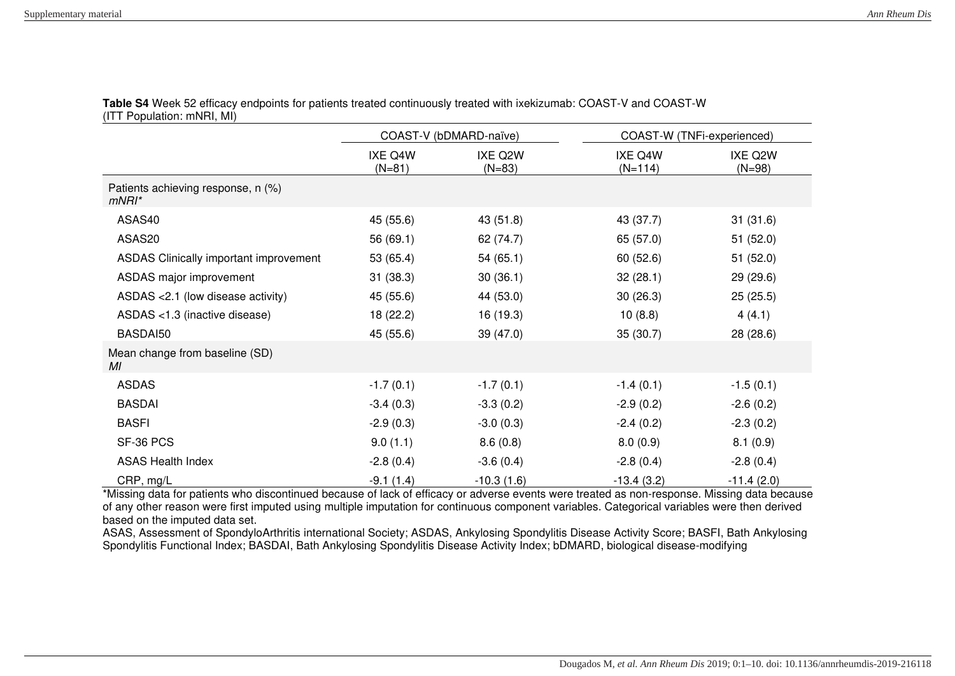|                                                | COAST-V (bDMARD-naïve) |                     | COAST-W (TNFi-experienced) |                     |
|------------------------------------------------|------------------------|---------------------|----------------------------|---------------------|
|                                                | IXE Q4W<br>$(N=81)$    | IXE Q2W<br>$(N=83)$ | IXE Q4W<br>$(N=114)$       | IXE Q2W<br>$(N=98)$ |
| Patients achieving response, n (%)<br>$mNRI^*$ |                        |                     |                            |                     |
| ASAS40                                         | 45 (55.6)              | 43 (51.8)           | 43 (37.7)                  | 31(31.6)            |
| ASAS20                                         | 56 (69.1)              | 62 (74.7)           | 65 (57.0)                  | 51(52.0)            |
| ASDAS Clinically important improvement         | 53 (65.4)              | 54(65.1)            | 60(52.6)                   | 51 (52.0)           |
| ASDAS major improvement                        | 31(38.3)               | 30(36.1)            | 32(28.1)                   | 29 (29.6)           |
| ASDAS < 2.1 (low disease activity)             | 45 (55.6)              | 44 (53.0)           | 30(26.3)                   | 25(25.5)            |
| ASDAS <1.3 (inactive disease)                  | 18 (22.2)              | 16 (19.3)           | 10(8.8)                    | 4(4.1)              |
| BASDAI50                                       | 45 (55.6)              | 39 (47.0)           | 35(30.7)                   | 28 (28.6)           |
| Mean change from baseline (SD)<br>МI           |                        |                     |                            |                     |
| <b>ASDAS</b>                                   | $-1.7(0.1)$            | $-1.7(0.1)$         | $-1.4(0.1)$                | $-1.5(0.1)$         |
| <b>BASDAI</b>                                  | $-3.4(0.3)$            | $-3.3(0.2)$         | $-2.9(0.2)$                | $-2.6(0.2)$         |
| <b>BASFI</b>                                   | $-2.9(0.3)$            | $-3.0(0.3)$         | $-2.4(0.2)$                | $-2.3(0.2)$         |
| SF-36 PCS                                      | 9.0(1.1)               | 8.6(0.8)            | 8.0(0.9)                   | 8.1(0.9)            |
| <b>ASAS Health Index</b>                       | $-2.8(0.4)$            | $-3.6(0.4)$         | $-2.8(0.4)$                | $-2.8(0.4)$         |
| CRP, mg/L                                      | $-9.1(1.4)$            | $-10.3(1.6)$        | $-13.4(3.2)$               | $-11.4(2.0)$        |

**Table S4** Week 52 efficacy endpoints for patients treated continuously treated with ixekizumab: COAST-V and COAST-W (ITT Population: mNRI, MI)

\*Missing data for patients who discontinued because of lack of efficacy or adverse events were treated as non-response. Missing data because of any other reason were first imputed using multiple imputation for continuous component variables. Categorical variables were then derived based on the imputed data set.

ASAS, Assessment of SpondyloArthritis international Society; ASDAS, Ankylosing Spondylitis Disease Activity Score; BASFI, Bath Ankylosing Spondylitis Functional Index; BASDAI, Bath Ankylosing Spondylitis Disease Activity Index; bDMARD, biological disease-modifying